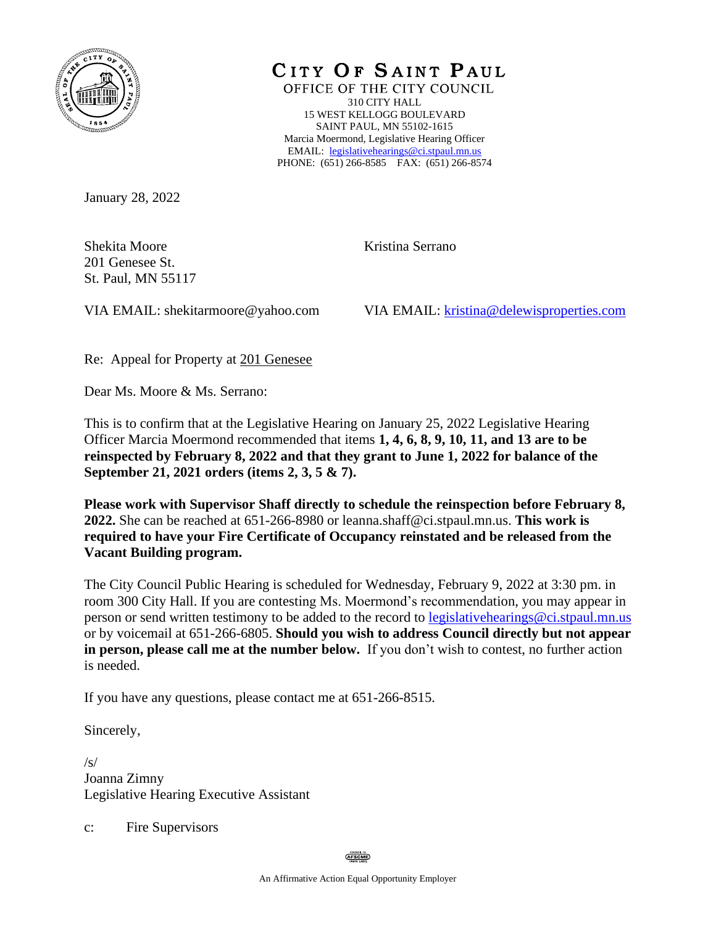

CITY OF SAINT PAUL

OFFICE OF THE CITY COUNCIL 310 CITY HALL 15 WEST KELLOGG BOULEVARD SAINT PAUL, MN 55102-1615 Marcia Moermond, Legislative Hearing Officer EMAIL: [legislativehearings@ci.stpaul.mn.us](mailto:legislativehearings@ci.stpaul.mn.us) PHONE: (651) 266-8585 FAX: (651) 266-8574

January 28, 2022

Shekita Moore 201 Genesee St. St. Paul, MN 55117 Kristina Serrano

VIA EMAIL: shekitarmoore@yahoo.com

VIA EMAIL: [kristina@delewisproperties.com](mailto:kristina@delewisproperties.com)

Re: Appeal for Property at 201 Genesee

Dear Ms. Moore & Ms. Serrano:

This is to confirm that at the Legislative Hearing on January 25, 2022 Legislative Hearing Officer Marcia Moermond recommended that items **1, 4, 6, 8, 9, 10, 11, and 13 are to be reinspected by February 8, 2022 and that they grant to June 1, 2022 for balance of the September 21, 2021 orders (items 2, 3, 5 & 7).**

**Please work with Supervisor Shaff directly to schedule the reinspection before February 8, 2022.** She can be reached at 651-266-8980 or leanna.shaff@ci.stpaul.mn.us. **This work is required to have your Fire Certificate of Occupancy reinstated and be released from the Vacant Building program.** 

The City Council Public Hearing is scheduled for Wednesday, February 9, 2022 at 3:30 pm. in room 300 City Hall. If you are contesting Ms. Moermond's recommendation, you may appear in person or send written testimony to be added to the record to [legislativehearings@ci.stpaul.mn.us](mailto:legislativehearings@ci.stpaul.mn.us) or by voicemail at 651-266-6805. **Should you wish to address Council directly but not appear in person, please call me at the number below.** If you don't wish to contest, no further action is needed.

If you have any questions, please contact me at 651-266-8515.

Sincerely,

 $\sqrt{s/}$ Joanna Zimny Legislative Hearing Executive Assistant

c: Fire Supervisors